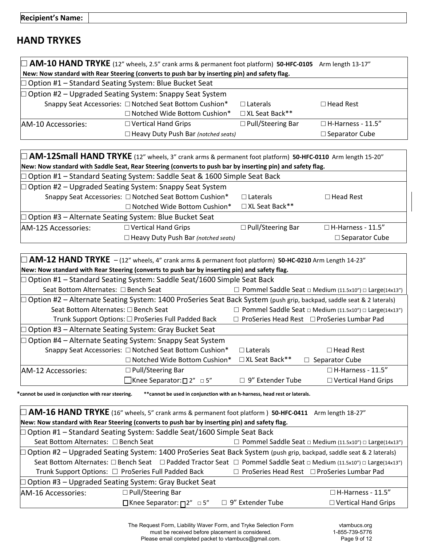## **HAND TRYKES**

| $\Box$ AM-10 HAND TRYKE (12" wheels, 2.5" crank arms & permanent foot platform) 50-HFC-0105 Arm length 13-17" |                                |                     |                          |
|---------------------------------------------------------------------------------------------------------------|--------------------------------|---------------------|--------------------------|
| New: Now standard with Rear Steering (converts to push bar by inserting pin) and safety flag.                 |                                |                     |                          |
| $\Box$ Option #1 – Standard Seating System: Blue Bucket Seat                                                  |                                |                     |                          |
| $\Box$ Option #2 – Upgraded Seating System: Snappy Seat System                                                |                                |                     |                          |
| Snappy Seat Accessories: □ Notched Seat Bottom Cushion*                                                       |                                | $\Box$ Laterals     | $\Box$ Head Rest         |
|                                                                                                               | □ Notched Wide Bottom Cushion* | □ XL Seat Back**    |                          |
| AM-10 Accessories:                                                                                            | $\Box$ Vertical Hand Grips     | □ Pull/Steering Bar | $\Box$ H-Harness - 11.5" |
| □ Heavy Duty Push Bar (notched seats)                                                                         |                                |                     | $\square$ Separator Cube |

| M-12Small HAND TRYKE (12" wheels, 3" crank arms & permanent foot platform) 50-HFC-0110 Arm length 15-20"   |                                                                |                          |                          |
|------------------------------------------------------------------------------------------------------------|----------------------------------------------------------------|--------------------------|--------------------------|
| New: Now standard with Saddle Seat, Rear Steering (converts to push bar by inserting pin) and safety flag. |                                                                |                          |                          |
| $\Box$ Option #1 – Standard Seating System: Saddle Seat & 1600 Simple Seat Back                            |                                                                |                          |                          |
|                                                                                                            | $\Box$ Option #2 – Upgraded Seating System: Snappy Seat System |                          |                          |
|                                                                                                            | Snappy Seat Accessories: □ Notched Seat Bottom Cushion*        | $\Box$ Laterals          | $\Box$ Head Rest         |
|                                                                                                            | □ Notched Wide Bottom Cushion*                                 | □ XL Seat Back**         |                          |
| $\Box$ Option #3 – Alternate Seating System: Blue Bucket Seat                                              |                                                                |                          |                          |
| AM-12S Accessories:                                                                                        | $\Box$ Vertical Hand Grips                                     | $\Box$ Pull/Steering Bar | $\Box$ H-Harness - 11.5" |
|                                                                                                            | $\Box$ Heavy Duty Push Bar (notched seats)                     |                          | $\Box$ Separator Cube    |

| $\Box$ AM-12 HAND TRYKE $-$ (12" wheels, 4" crank arms & permanent foot platform) 50-HC-0210 Arm Length 14-23"         |                                                     |                                                                         |                                                          |
|------------------------------------------------------------------------------------------------------------------------|-----------------------------------------------------|-------------------------------------------------------------------------|----------------------------------------------------------|
| New: Now standard with Rear Steering (converts to push bar by inserting pin) and safety flag.                          |                                                     |                                                                         |                                                          |
| □ Option #1 – Standard Seating System: Saddle Seat/1600 Simple Seat Back                                               |                                                     |                                                                         |                                                          |
| Seat Bottom Alternates: □ Bench Seat                                                                                   |                                                     | $\Box$ Pommel Saddle Seat $\Box$ Medium (11.5x10") $\Box$ Large(14x13") |                                                          |
| □ Option #2 – Alternate Seating System: 1400 ProSeries Seat Back System (push grip, backpad, saddle seat & 2 laterals) |                                                     |                                                                         |                                                          |
| Seat Bottom Alternates: □ Bench Seat                                                                                   |                                                     |                                                                         | □ Pommel Saddle Seat □ Medium (11.5x10") □ Large(14x13") |
|                                                                                                                        | Trunk Support Options: □ ProSeries Full Padded Back |                                                                         | $\Box$ ProSeries Head Rest $\Box$ ProSeries Lumbar Pad   |
| □ Option #3 – Alternate Seating System: Gray Bucket Seat                                                               |                                                     |                                                                         |                                                          |
| $\Box$ Option #4 – Alternate Seating System: Snappy Seat System                                                        |                                                     |                                                                         |                                                          |
| Snappy Seat Accessories: □ Notched Seat Bottom Cushion*                                                                |                                                     | $\Box$ Laterals                                                         | $\Box$ Head Rest                                         |
|                                                                                                                        | $\Box$ Notched Wide Bottom Cushion*                 | $\Box$ XL Seat Back**                                                   | Separator Cube                                           |
| <b>JAM-12 Accessories:</b>                                                                                             | $\Box$ Pull/Steering Bar                            |                                                                         | $\Box$ H-Harness - 11.5"                                 |
|                                                                                                                        | ■Knee Separator: $\square$ 2" $\square$ 5"          | $\Box$ 9" Extender Tube                                                 | $\Box$ Vertical Hand Grips                               |

**\*cannot be used in conjunction with rear steering. \*\*cannot be used in conjunction with an h-harness, head rest or laterals.**

| $\Box$ AM-16 HAND TRYKE (16" wheels, 5" crank arms & permanent foot platform) 50-HFC-0411 Arm length 18-27"           |                                                     |                    |                                                          |
|-----------------------------------------------------------------------------------------------------------------------|-----------------------------------------------------|--------------------|----------------------------------------------------------|
| New: Now standard with Rear Steering (converts to push bar by inserting pin) and safety flag.                         |                                                     |                    |                                                          |
| $\Box$ Option #1 – Standard Seating System: Saddle Seat/1600 Simple Seat Back                                         |                                                     |                    |                                                          |
| Seat Bottom Alternates: □ Bench Seat                                                                                  |                                                     |                    | □ Pommel Saddle Seat □ Medium (11.5x10") □ Large(14x13") |
| □ Option #2 – Upgraded Seating System: 1400 ProSeries Seat Back System (push grip, backpad, saddle seat & 2 laterals) |                                                     |                    |                                                          |
| Seat Bottom Alternates: □ Bench Seat □ Padded Tractor Seat □ Pommel Saddle Seat □ Medium (11.5x10") □ Large(14x13")   |                                                     |                    |                                                          |
|                                                                                                                       | Trunk Support Options: □ ProSeries Full Padded Back |                    | □ ProSeries Head Rest □ ProSeries Lumbar Pad             |
| $\Box$ Option #3 – Upgraded Seating System: Gray Bucket Seat                                                          |                                                     |                    |                                                          |
| AM-16 Accessories:                                                                                                    | $\Box$ Pull/Steering Bar                            |                    | $\Box$ H-Harness - 11.5"                                 |
|                                                                                                                       | □Knee Separator: $\Box$ <sup>2"</sup> □ 5"          | □ 9" Extender Tube | $\Box$ Vertical Hand Grips                               |

The Request Form, Liability Waver Form, and Tryke Selection Form must be received before placement is considered. Please email completed packet to vtambucs@gmail.com.